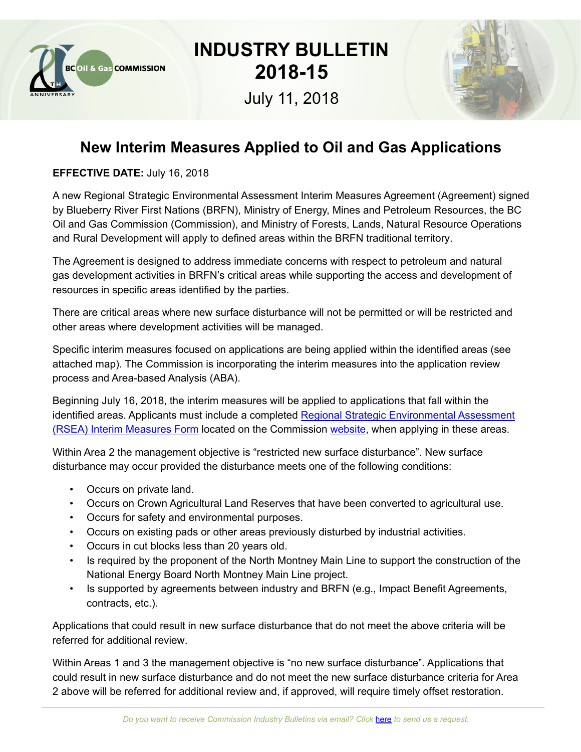

## **INDUSTRY BULLETIN 2018-15**

July 11, 2018



## **New Interim Measures Applied to Oil and Gas Applications**

**EFFECTIVE DATE:** July 16, 2018

A new Regional Strategic Environmental Assessment Interim Measures Agreement (Agreement) signed by Blueberry River First Nations (BRFN), Ministry of Energy, Mines and Petroleum Resources, the BC Oil and Gas Commission (Commission), and Ministry of Forests, Lands, Natural Resource Operations and Rural Development will apply to defined areas within the BRFN traditional territory.

The Agreement is designed to address immediate concerns with respect to petroleum and natural gas development activities in BRFN's critical areas while supporting the access and development of resources in specific areas identified by the parties.

There are critical areas where new surface disturbance will not be permitted or will be restricted and other areas where development activities will be managed.

Specific interim measures focused on applications are being applied within the identified areas (see attached map). The Commission is incorporating the interim measures into the application review process and Area-based Analysis (ABA).

Beginning July 16, 2018, the interim measures will be applied to applications that fall within the identified areas. Applicants must include a completed [Regional Strategic Environmental Assessment](https://www.bcogc.ca/node/14946/download)  [\(RSEA\) Interim Measures Form](https://www.bcogc.ca/node/14946/download) located on the Commission [website](https://www.bcogc.ca/first-nations/forms), when applying in these areas.

Within Area 2 the management objective is "restricted new surface disturbance". New surface disturbance may occur provided the disturbance meets one of the following conditions:

- Occurs on private land.
- Occurs on Crown Agricultural Land Reserves that have been converted to agricultural use.
- Occurs for safety and environmental purposes.
- Occurs on existing pads or other areas previously disturbed by industrial activities.
- Occurs in cut blocks less than 20 years old.
- Is required by the proponent of the North Montney Main Line to support the construction of the National Energy Board North Montney Main Line project.
- Is supported by agreements between industry and BRFN (e.g., Impact Benefit Agreements, contracts, etc.).

Applications that could result in new surface disturbance that do not meet the above criteria will be referred for additional review.

Within Areas 1 and 3 the management objective is "no new surface disturbance". Applications that could result in new surface disturbance and do not meet the new surface disturbance criteria for Area 2 above will be referred for additional review and, if approved, will require timely offset restoration.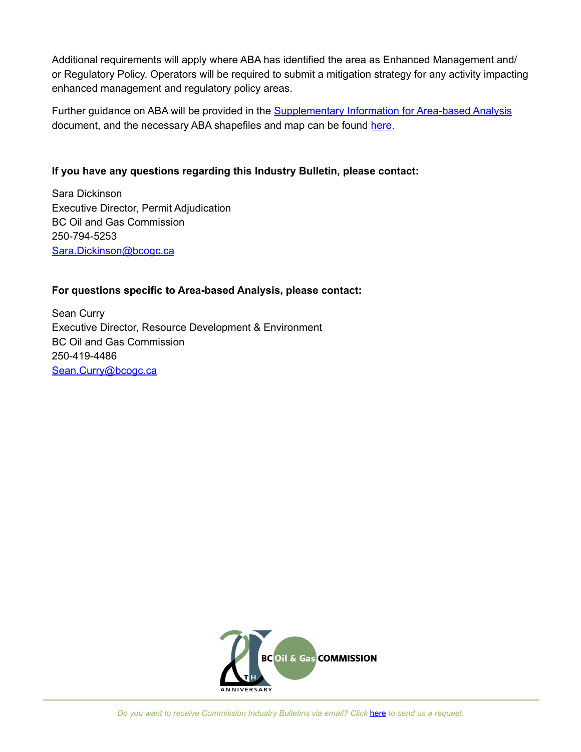Additional requirements will apply where ABA has identified the area as Enhanced Management and/ or Regulatory Policy. Operators will be required to submit a mitigation strategy for any activity impacting enhanced management and regulatory policy areas.

Further guidance on ABA will be provided in the **[Supplementary Information for Area-based Analysis](https://www.bcogc.ca/node/12693/download)** document, and the necessary ABA shapefiles and map can be found [here](ftp://ftp.bcogc.ca/outgoing/OGC_Data/Area_Based_Analysis/).

## **If you have any questions regarding this Industry Bulletin, please contact:**

Sara Dickinson Executive Director, Permit Adjudication BC Oil and Gas Commission 250-794-5253 [Sara.Dickinson@bcogc.ca](mailto:Sara.Dickinson%40bcogc.ca?subject=New%20Interim%20Measures%20Applied%20to%20Oil%20and%20Gas%20Applications)

## **For questions specific to Area-based Analysis, please contact:**

Sean Curry Executive Director, Resource Development & Environment BC Oil and Gas Commission 250-419-4486 [Sean.Curry@bcogc.ca](mailto:Sean.Curry%40bcogc.ca?subject=New%20Interim%20Measures%20Applied%20to%20Oil%20and%20Gas%20Applications)